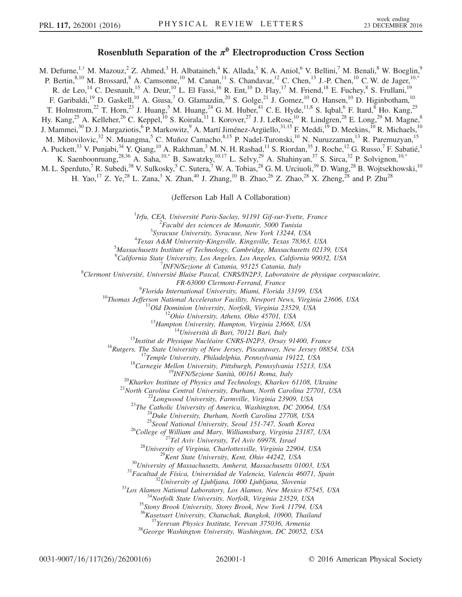## Rosenbluth Separation of the  $\pi^0$  Electroproduction Cross Section

<span id="page-0-1"></span><span id="page-0-0"></span>M. Defurne, <sup>1,[†](#page-5-0)</sup> M. Mazouz,  $2^2$  Z. Ahmed, $3^3$  H. Albataineh, $4^4$  K. Allada, $5^6$  K. A. Aniol, $6^6$  V. Bellini, $7^7$  M. Benali, $8^8$  W. Boeglin, P. Bertin,  $8,10$  M. Brossard,  $8$  A. Camsonne,  $^{10}$  M. Canan,  $^{11}$  S. Chandavar,  $^{12}$  C. Chen,  $^{13}$  J.-P. Chen,  $^{10}$  C. W. de Jager,  $^{10,*}$  $^{10,*}$  $^{10,*}$ R. de Leo,<sup>14</sup> C. Desnault,<sup>15</sup> A. Deur,<sup>10</sup> L. El Fassi,<sup>16</sup> R. Ent,<sup>10</sup> D. Flay,<sup>17</sup> M. Friend,<sup>18</sup> E. Fuchey,<sup>8</sup> S. Frullani,<sup>19</sup> F. Garibaldi,<sup>19</sup> D. Gaskell,<sup>10</sup> A. Giusa,<sup>7</sup> O. Glamazdin,<sup>20</sup> S. Golge,<sup>21</sup> J. Gomez,<sup>10</sup> O. Hansen,<sup>10</sup> D. Higinbotham,<sup>10</sup> T. Holmstrom,<sup>22</sup> T. Horn,<sup>23</sup> J. Huang,<sup>5</sup> M. Huang,<sup>24</sup> G. M. Huber,<sup>41</sup> C. E. Hyde,<sup>11,8</sup> S. Iqbal,<sup>6</sup> F. Itard,<sup>8</sup> Ho. Kang,<sup>25</sup> Hy. Kang,<sup>25</sup> A. Kelleher,<sup>26</sup> C. Keppel,<sup>10</sup> S. Koirala,<sup>11</sup> I. Korover,<sup>27</sup> J. J. LeRose,<sup>10</sup> R. Lindgren,<sup>28</sup> E. Long,<sup>29</sup> M. Magne,<sup>8</sup> J. Mammei, $^{30}$  D. J. Margaziotis, $^6$  P. Markowitz, $^9$  A. Martí Jiménez-Argüello, $^{31,15}$  F. Meddi, $^{19}$  D. Meekins, $^{10}$  R. Michaels, $^{10}$ M. Mihovilovic,<sup>32</sup> N. Muangma,<sup>5</sup> C. Muñoz Camacho,<sup>8,15</sup> P. Nadel-Turonski,<sup>10</sup> N. Nuruzzaman,<sup>13</sup> R. Paremuzyan,<sup>15</sup> A. Puckett,<sup>33</sup> V. Punjabi,<sup>34</sup> Y. Qiang,<sup>10</sup> A. Rakhman,<sup>3</sup> M. N. H. Rashad,<sup>11</sup> S. Riordan,<sup>35</sup> J. Roche,<sup>12</sup> G. Russo,<sup>7</sup> F. Sabatié,<sup>1</sup> K. Saenboonruang,  $^{28,36}$  A. Saha,  $^{10,*}$  $^{10,*}$  $^{10,*}$  B. Sawatzky,  $^{10,17}$  L. Selvy,  $^{29}$  A. Shahinyan,  $^{37}$  S. Sirca,  $^{32}$  P. Solvignon,  $^{10,*}$  $^{10,*}$  $^{10,*}$ M. L. Sperduto,<sup>7</sup> R. Subedi,<sup>38</sup> V. Sulkosky,<sup>5</sup> C. Sutera,<sup>7</sup> W. A. Tobias,<sup>28</sup> G. M. Urciuoli,<sup>39</sup> D. Wang,<sup>28</sup> B. Wojtsekhowski,<sup>10</sup> H. Yao,<sup>17</sup> Z. Ye,<sup>28</sup> L. Zana,<sup>3</sup> X. Zhan,<sup>40</sup> J. Zhang,<sup>10</sup> B. Zhao,<sup>26</sup> Z. Zhao,<sup>28</sup> X. Zheng,<sup>28</sup> and P. Zhu<sup>28</sup>

(Jefferson Lab Hall A Collaboration)

<sup>1</sup>Irfu, CEA, Université Paris-Saclay, 91191 Gif-sur-Yvette, France

 $2$ Faculté des sciences de Monastir, 5000 Tunisia

 $3$ Syracuse University, Syracuse, New York 13244, USA

Texas A&M University-Kingsville, Kingsville, Texas 78363, USA <sup>5</sup>

<sup>5</sup>Massachusetts Institute of Technology, Cambridge, Massachusetts 02139, USA

<sup>6</sup>California State University, Los Angeles, Los Angeles, California 90032, USA

INFN/Sezione di Catania, 95125 Catania, Italy<br><sup>8</sup>Clermont Université, Université Blaise Pascal, CNRS/IN2P3, Laboratoire de physique corpusculaire,

FR-63000 Clermont-Ferrand, France<br><sup>9</sup>Florida International University, Miami, Florida 33199, USA

*<sup>16</sup>Phonas Jefferson Matomala University, Miami, Florida 33199, USA<br>
<sup>16</sup>Phonas Jefferson Matomal Accelerator Facility, Newport News, Virginia 23606, USA<br>
<sup>16</sup>Phonas <sup>11</sup>Old Dominion University, Norfolk, Virginia 23509,* 

<sup>36</sup>Kasetsart University, Chatuchak, Bangkok, 10900, Thailand<br><sup>37</sup>Yerevan Physics Institute, Yerevan 375036, Armenia<br><sup>38</sup>George Washington University, Washington, DC 20052, USA

0031-9007/16/117(26)/262001(6) 262001-1 © 2016 American Physical Society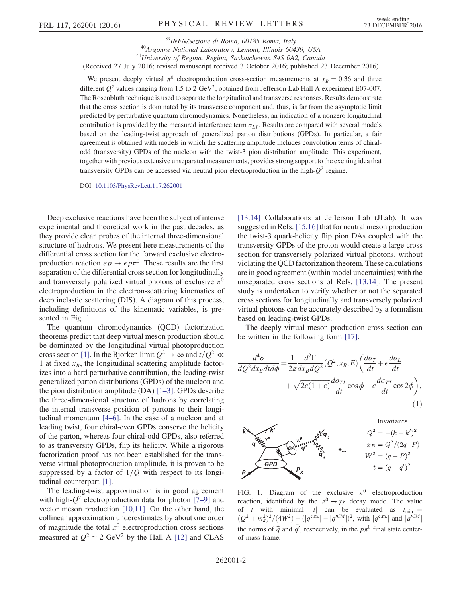<sup>39</sup>INFN/Sezione di Roma, 00185 Roma, Italy<br><sup>40</sup>Argonne National Laboratory, Lemont, Illinois 60439, USA<br><sup>41</sup>University of Regina, Regina, Saskatchewan S4S 0A2, Canada (Received 27 July 2016; revised manuscript received 3 October 2016; published 23 December 2016)

We present deeply virtual  $\pi^0$  electroproduction cross-section measurements at  $x_B = 0.36$  and three different  $Q^2$  values ranging from 1.5 to 2 GeV<sup>2</sup>, obtained from Jefferson Lab Hall A experiment E07-007. The Rosenbluth technique is used to separate the longitudinal and transverse responses. Results demonstrate that the cross section is dominated by its transverse component and, thus, is far from the asymptotic limit predicted by perturbative quantum chromodynamics. Nonetheless, an indication of a nonzero longitudinal contribution is provided by the measured interference term  $\sigma_{LT}$ . Results are compared with several models based on the leading-twist approach of generalized parton distributions (GPDs). In particular, a fair agreement is obtained with models in which the scattering amplitude includes convolution terms of chiralodd (transversity) GPDs of the nucleon with the twist-3 pion distribution amplitude. This experiment, together with previous extensive unseparated measurements, provides strong support to the exciting idea that transversity GPDs can be accessed via neutral pion electroproduction in the high- $Q^2$  regime.

DOI: [10.1103/PhysRevLett.117.262001](http://dx.doi.org/10.1103/PhysRevLett.117.262001)

Deep exclusive reactions have been the subject of intense experimental and theoretical work in the past decades, as they provide clean probes of the internal three-dimensional structure of hadrons. We present here measurements of the differential cross section for the forward exclusive electroproduction reaction  $ep \rightarrow ep\pi^0$ . These results are the first separation of the differential cross section for longitudinally and transversely polarized virtual photons of exclusive  $\pi^0$ electroproduction in the electron-scattering kinematics of deep inelastic scattering (DIS). A diagram of this process, including definitions of the kinematic variables, is presented in Fig. [1](#page-1-0).

The quantum chromodynamics (QCD) factorization theorems predict that deep virtual meson production should be dominated by the longitudinal virtual photoproduction cross section [\[1\]](#page-5-2). In the Bjorken limit  $Q^2 \rightarrow \infty$  and  $t/Q^2 \ll$ 1 at fixed  $x_B$ , the longitudinal scattering amplitude factorizes into a hard perturbative contribution, the leading-twist generalized parton distributions (GPDs) of the nucleon and the pion distribution amplitude  $(DA)$  [1–[3\].](#page-5-2) GPDs describe the three-dimensional structure of hadrons by correlating the internal transverse position of partons to their longitudinal momentum [4–[6\].](#page-5-3) In the case of a nucleon and at leading twist, four chiral-even GPDs conserve the helicity of the parton, whereas four chiral-odd GPDs, also referred to as transversity GPDs, flip its helicity. While a rigorous factorization proof has not been established for the transverse virtual photoproduction amplitude, it is proven to be suppressed by a factor of  $1/Q$  with respect to its longitudinal counterpart [\[1\]](#page-5-2).

The leading-twist approximation is in good agreement with high- $Q^2$  electroproduction data for photon [\[7](#page-5-4)–9] and vector meson production [\[10,11\]](#page-5-5). On the other hand, the collinear approximation underestimates by about one order of magnitude the total  $\pi^0$  electroproduction cross sections measured at  $Q^2 \approx 2 \text{ GeV}^2$  by the Hall A [\[12\]](#page-5-6) and CLAS [\[13,14\]](#page-5-7) Collaborations at Jefferson Lab (JLab). It was suggested in Refs. [\[15,16\]](#page-5-8) that for neutral meson production the twist-3 quark-helicity flip pion DAs coupled with the transversity GPDs of the proton would create a large cross section for transversely polarized virtual photons, without violating the QCD factorization theorem. These calculations are in good agreement (within model uncertainties) with the unseparated cross sections of Refs. [\[13,14\]](#page-5-7). The present study is undertaken to verify whether or not the separated cross sections for longitudinally and transversely polarized virtual photons can be accurately described by a formalism based on leading-twist GPDs.

The deeply virtual meson production cross section can be written in the following form [\[17\]](#page-5-9):

$$
\frac{d^4\sigma}{dQ^2dx_Bdt d\phi} = \frac{1}{2\pi}\frac{d^2\Gamma}{dx_B dQ^2}(Q^2, x_B, E) \left(\frac{d\sigma_T}{dt} + \epsilon \frac{d\sigma_L}{dt} + \sqrt{2\epsilon(1+\epsilon)}\frac{d\sigma_{TL}}{dt}\cos\phi + \epsilon \frac{d\sigma_{TT}}{dt}\cos 2\phi\right),
$$
\n(1)

Invariants

<span id="page-1-0"></span>

FIG. 1. Diagram of the exclusive  $\pi^0$  electroproduction reaction, identified by the  $\pi^0 \rightarrow \gamma \gamma$  decay mode. The value of t with minimal |t| can be evaluated as  $t_{\text{min}} =$  $(Q^2 + m_\pi^2)^2/(4W^2) - (|q^{\text{c.m.}}| - |q^{\text{c.M.}}|)^2$ , with  $|q^{\text{c.m.}}|$  and  $|q^{\text{c.M.}}|$ the norms of  $\vec{q}$  and  $\vec{q'}$ , respectively, in the  $p\pi^0$  final state centerof-mass frame.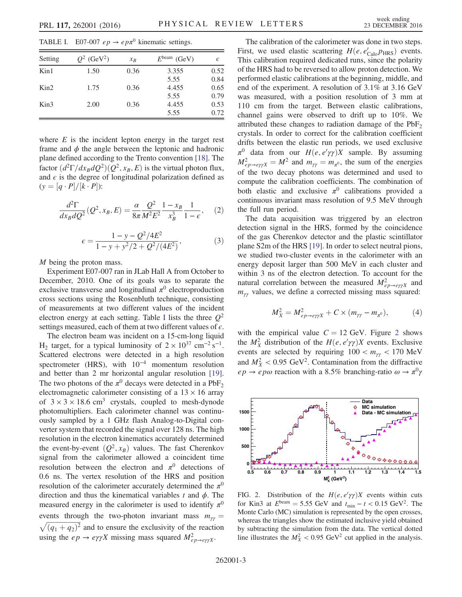<span id="page-2-0"></span>TABLE I. E07-007  $ep \rightarrow ep\pi^0$  kinematic settings.

| Setting         | $Q^2$ (GeV <sup>2</sup> ) | $x_R$ | E <sup>beam</sup><br>(GeV) | $\epsilon$ |
|-----------------|---------------------------|-------|----------------------------|------------|
| Kin1            | 1.50                      | 0.36  | 3.355                      | 0.52       |
|                 |                           |       | 5.55                       | 0.84       |
| $\rm{Kin2}$     | 1.75                      | 0.36  | 4.455                      | 0.65       |
|                 |                           |       | 5.55                       | 0.79       |
| $\mathrm{Kin}3$ | 2.00                      | 0.36  | 4.455                      | 0.53       |
|                 |                           |       | 5.55                       | 0.72       |

where  $E$  is the incident lepton energy in the target rest frame and  $\phi$  the angle between the leptonic and hadronic plane defined according to the Trento convention [\[18\].](#page-5-10) The factor  $\left(d^2\Gamma/dx_BdQ^2\right)(Q^2, x_B, E)$  is the virtual photon flux, and  $\epsilon$  is the degree of longitudinal polarization defined as  $(y = [q \cdot P]/[k \cdot P])$ :

$$
\frac{d^2\Gamma}{dx_B dQ^2}(Q^2, x_B, E) = \frac{\alpha}{8\pi} \frac{Q^2}{M^2 E^2} \frac{1 - x_B}{x_B^3} \frac{1}{1 - \epsilon}, \quad (2)
$$

$$
\epsilon = \frac{1 - y - Q^2 / 4E^2}{1 - y + y^2 / 2 + Q^2 / (4E^2)},\tag{3}
$$

M being the proton mass.

Experiment E07-007 ran in JLab Hall A from October to December, 2010. One of its goals was to separate the exclusive transverse and longitudinal  $\pi^0$  electroproduction cross sections using the Rosenbluth technique, consisting of measurements at two different values of the incident electron energy at each setting. Table [I](#page-2-0) lists the three  $Q^2$ settings measured, each of them at two different values of  $\epsilon$ .

The electron beam was incident on a 15-cm-long liquid H<sub>2</sub> target, for a typical luminosity of  $2 \times 10^{37}$  cm<sup>-2</sup> s<sup>-1</sup>. Scattered electrons were detected in a high resolution spectrometer (HRS), with  $10^{-4}$  momentum resolution and better than 2 mr horizontal angular resolution [\[19\]](#page-5-11). The two photons of the  $\pi^0$  decays were detected in a PbF<sub>2</sub> electromagnetic calorimeter consisting of a  $13 \times 16$  array of  $3 \times 3 \times 18.6$  cm<sup>3</sup> crystals, coupled to mesh-dynode photomultipliers. Each calorimeter channel was continuously sampled by a 1 GHz flash Analog-to-Digital converter system that recorded the signal over 128 ns. The high resolution in the electron kinematics accurately determined the event-by-event  $(Q^2, x_B)$  values. The fast Cherenkov signal from the calorimeter allowed a coincident time resolution between the electron and  $\pi^0$  detections of 0.6 ns. The vertex resolution of the HRS and position resolution of the calorimeter accurately determined the  $\pi^0$ direction and thus the kinematical variables t and  $\phi$ . The measured energy in the calorimeter is used to identify  $\pi^0$ events through the two-photon invariant mass  $m_{\gamma\gamma} =$  $\sqrt{(q_1+q_2)^2}$  and to ensure the exclusivity of the reaction using the  $ep \rightarrow e\gamma \gamma X$  missing mass squared  $M_{ep \rightarrow e\gamma \gamma X}^2$ .

The calibration of the calorimeter was done in two steps. First, we used elastic scattering  $H(e, e'_{\text{Calo}} p_{\text{HRS}})$  events. This calibration required dedicated runs, since the polarity of the HRS had to be reversed to allow proton detection. We performed elastic calibrations at the beginning, middle, and end of the experiment. A resolution of 3.1% at 3.16 GeV was measured, with a position resolution of 3 mm at 110 cm from the target. Between elastic calibrations, channel gains were observed to drift up to 10%. We attributed these changes to radiation damage of the  $PbF<sub>2</sub>$ crystals. In order to correct for the calibration coefficient drifts between the elastic run periods, we used exclusive  $\pi^0$  data from our  $H(e, e'\gamma\gamma)X$  sample. By assuming  $M_{ep\to e\gamma\gamma X}^2 = M^2$  and  $m_{\gamma\gamma} = m_{\pi^0}$ , the sum of the energies of the two decay photons was determined and used to compute the calibration coefficients. The combination of both elastic and exclusive  $\pi^0$  calibrations provided a continuous invariant mass resolution of 9.5 MeV through the full run period.

The data acquisition was triggered by an electron detection signal in the HRS, formed by the coincidence of the gas Cherenkov detector and the plastic scintillator plane S2m of the HRS [\[19\]](#page-5-11). In order to select neutral pions, we studied two-cluster events in the calorimeter with an energy deposit larger than 500 MeV in each cluster and within 3 ns of the electron detection. To account for the natural correlation between the measured  $M_{ep\rightarrow e\gamma\gamma X}^2$  and  $m_{\gamma\gamma}$  values, we define a corrected missing mass squared:

$$
M_X^2 = M_{ep \to e\gamma\gamma X}^2 + C \times (m_{\gamma\gamma} - m_{\pi^0}), \tag{4}
$$

with the empirical value  $C = 12$  $C = 12$  GeV. Figure 2 shows the  $M_X^2$  distribution of the  $H(e, e' \gamma \gamma)X$  events. Exclusive events are selected by requiring  $100 < m_{\gamma\gamma} < 170$  MeV and  $M_X^2 < 0.95$  GeV<sup>2</sup>. Contamination from the diffractive  $ep \rightarrow ep\omega$  reaction with a 8.5% branching-ratio  $\omega \rightarrow \pi^0 \gamma$ 

<span id="page-2-1"></span>

FIG. 2. Distribution of the  $H(e, e'\gamma\gamma)X$  events within cuts for Kin3 at  $E^{beam} = 5.55$  GeV and  $t_{min} - t < 0.15$  GeV<sup>2</sup>. The Monte Carlo (MC) simulation is represented by the open crosses, whereas the triangles show the estimated inclusive yield obtained by subtracting the simulation from the data. The vertical dotted line illustrates the  $M_X^2 < 0.95$  GeV<sup>2</sup> cut applied in the analysis.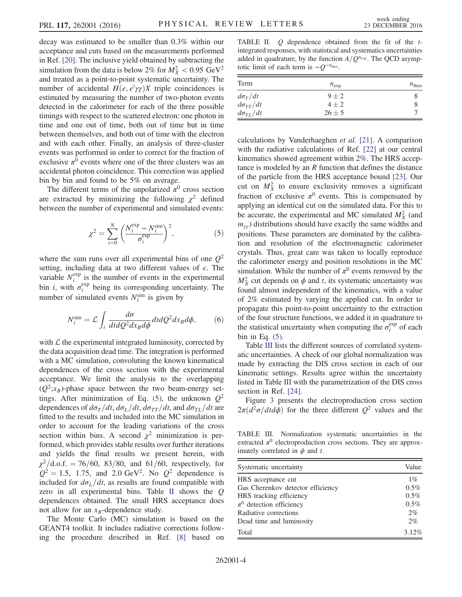decay was estimated to be smaller than 0.3% within our acceptance and cuts based on the measurements performed in Ref. [\[20\]](#page-5-12). The inclusive yield obtained by subtracting the simulation from the data is below 2% for  $M_X^2 < 0.95$  GeV<sup>2</sup> and treated as a point-to-point systematic uncertainty. The number of accidental  $H(e, e' \gamma \gamma)X$  triple coincidences is estimated by measuring the number of two-photon events detected in the calorimeter for each of the three possible timings with respect to the scattered electron: one photon in time and one out of time, both out of time but in time between themselves, and both out of time with the electron and with each other. Finally, an analysis of three-cluster events was performed in order to correct for the fraction of exclusive  $\pi^0$  events where one of the three clusters was an accidental photon coincidence. This correction was applied bin by bin and found to be 5% on average.

<span id="page-3-0"></span>The different terms of the unpolarized  $\pi^0$  cross section are extracted by minimizing the following  $\chi^2$  defined between the number of experimental and simulated events:

$$
\chi^2 = \sum_{i=0}^{N} \left( \frac{N_i^{\exp} - N_i^{\sin}}{\sigma_i^{\exp}} \right)^2,\tag{5}
$$

where the sum runs over all experimental bins of one  $Q^2$ setting, including data at two different values of  $\epsilon$ . The variable  $N_i^{\text{exp}}$  is the number of events in the experimental bin *i*, with  $\sigma_i^{\text{exp}}$  being its corresponding uncertainty. The number of simulated events  $N_i^{\text{sim}}$  is given by

$$
N_i^{\text{sim}} = \mathcal{L} \int_i \frac{d\sigma}{dt dQ^2 dx_B d\phi} dt dQ^2 dx_B d\phi, \qquad (6)
$$

with  $\mathcal L$  the experimental integrated luminosity, corrected by the data acquisition dead time. The integration is performed with a MC simulation, convoluting the known kinematical dependences of the cross section with the experimental acceptance. We limit the analysis to the overlapping  $(Q^2; x_B)$ -phase space between the two beam-energy set-tings. After minimization of Eq. [\(5\)](#page-3-0), the unknown  $Q^2$ dependences of  $d\sigma_T/dt$ ,  $d\sigma_L/dt$ ,  $d\sigma_{TT}/dt$ , and  $d\sigma_{TL}/dt$  are fitted to the results and included into the MC simulation in order to account for the leading variations of the cross section within bins. A second  $\chi^2$  minimization is performed, which provides stable results over further iterations and yields the final results we present herein, with  $\chi^2/\text{d.o.f.} = 76/60, 83/80, \text{ and } 61/60, \text{ respectively, for}$  $Q^2 = 1.5$ , 1.75, and 2.0 GeV<sup>2</sup>. No  $Q^2$  dependence is included for  $d\sigma_L/dt$ , as results are found compatible with zero in all experimental bins. Table [II](#page-3-1) shows the Q dependences obtained. The small HRS acceptance does not allow for an  $x_B$ -dependence study.

The Monte Carlo (MC) simulation is based on the GEANT4 toolkit. It includes radiative corrections following the procedure described in Ref. [\[8\]](#page-5-13) based on

<span id="page-3-1"></span>TABLE II. Q dependence obtained from the fit of the tintegrated responses, with statistical and systematics uncertainties added in quadrature, by the function  $A/Q^{n_{\text{exp}}}$ . The QCD asymptotic limit of each term is  $\sim Q^{-n_{\text{theo}}}.$ 

| Term              | $n_{\exp}$ | $n_{\text{theo}}$ |
|-------------------|------------|-------------------|
| $d\sigma_T/dt$    | $9 \pm 2$  |                   |
| $d\sigma_{TT}/dt$ | $4\pm 2$   | 8                 |
| $d\sigma_{TL}/dt$ | $26 \pm 5$ |                   |

calculations by Vanderhaeghen et al. [\[21\].](#page-5-14) A comparison with the radiative calculations of Ref. [\[22\]](#page-5-15) at our central kinematics showed agreement within 2%. The HRS acceptance is modeled by an  $R$  function that defines the distance of the particle from the HRS acceptance bound [\[23\].](#page-5-16) Our cut on  $M_X^2$  to ensure exclusivity removes a significant fraction of exclusive  $\pi^0$  events. This is compensated by applying an identical cut on the simulated data. For this to be accurate, the experimental and MC simulated  $M_X^2$  (and  $m_{\gamma\gamma}$ ) distributions should have exactly the same widths and positions. These parameters are dominated by the calibration and resolution of the electromagnetic calorimeter crystals. Thus, great care was taken to locally reproduce the calorimeter energy and position resolutions in the MC simulation. While the number of  $\pi^0$  events removed by the  $M_X^2$  cut depends on  $\phi$  and t, its systematic uncertainty was found almost independent of the kinematics, with a value of 2% estimated by varying the applied cut. In order to propagate this point-to-point uncertainty to the extraction of the four structure functions, we added it in quadrature to the statistical uncertainty when computing the  $\sigma_i^{\text{exp}}$  of each bin in Eq. [\(5\).](#page-3-0)

Table [III](#page-3-2) lists the different sources of correlated systematic uncertainties. A check of our global normalization was made by extracting the DIS cross section in each of our kinematic settings. Results agree within the uncertainty listed in Table [III](#page-3-2) with the parametrization of the DIS cross section in Ref. [\[24\]](#page-5-17).

Figure [3](#page-4-0) presents the electroproduction cross section  $2\pi(d^2\sigma/dtd\phi)$  for the three different  $Q^2$  values and the

<span id="page-3-2"></span>TABLE III. Normalization systematic uncertainties in the extracted  $\pi^0$  electroproduction cross sections. They are approximately correlated in  $\phi$  and t.

| Systematic uncertainty            | Value    |  |
|-----------------------------------|----------|--|
| HRS acceptance cut                | $1\%$    |  |
| Gas Cherenkov detector efficiency | $0.5\%$  |  |
| HRS tracking efficiency           | $0.5\%$  |  |
| $\pi^0$ detection efficiency      | $0.5\%$  |  |
| Radiative corrections             | 2%       |  |
| Dead time and luminosity          | 2%       |  |
| Total                             | $3.12\%$ |  |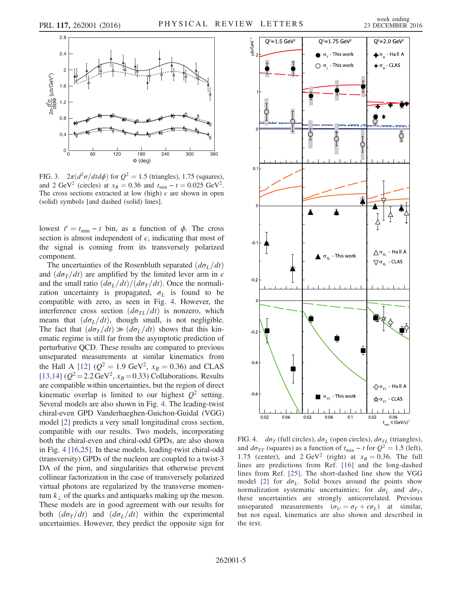<span id="page-4-0"></span>

FIG. 3.  $2\pi(d^2\sigma/dtd\phi)$  for  $Q^2 = 1.5$  (triangles), 1.75 (squares), and 2 GeV<sup>2</sup> (circles) at  $x_B = 0.36$  and  $t_{\text{min}} - t = 0.025$  GeV<sup>2</sup>. The cross sections extracted at low (high)  $\epsilon$  are shown in open (solid) symbols [and dashed (solid) lines].

lowest  $t' = t_{\min} - t$  bin, as a function of  $\phi$ . The cross section is almost independent of  $\epsilon$ , indicating that most of the signal is coming from its transversely polarized component.

The uncertainties of the Rosenbluth separated  $(d\sigma_L/dt)$ and  $(d\sigma_T/dt)$  are amplified by the limited lever arm in  $\epsilon$ and the small ratio  $\left(d\sigma_L/dt\right)/\left(d\sigma_T/dt\right)$ . Once the normalization uncertainty is propagated,  $\sigma_L$  is found to be compatible with zero, as seen in Fig. [4](#page-4-1). However, the interference cross section  $(d\sigma_{TL}/dt)$  is nonzero, which means that  $(d\sigma_L/dt)$ , though small, is not negligible. The fact that  $(d\sigma_T/dt) \gg (d\sigma_L/dt)$  shows that this kinematic regime is still far from the asymptotic prediction of perturbative QCD. These results are compared to previous unseparated measurements at similar kinematics from the Hall A [\[12\]](#page-5-6) ( $Q^2 = 1.9$  GeV<sup>2</sup>,  $x_B = 0.36$ ) and CLAS [\[13,14\]](#page-5-7) ( $Q^2 = 2.2 \text{ GeV}^2$ ,  $x_B = 0.33$ ) Collaborations. Results are compatible within uncertainties, but the region of direct kinematic overlap is limited to our highest  $Q^2$  setting. Several models are also shown in Fig. [4.](#page-4-1) The leading-twist chiral-even GPD Vanderhaeghen-Guichon-Guidal (VGG) model [\[2\]](#page-5-18) predicts a very small longitudinal cross section, compatible with our results. Two models, incorporating both the chiral-even and chiral-odd GPDs, are also shown in Fig. [4](#page-4-1) [\[16,25\].](#page-5-19) In these models, leading-twist chiral-odd (transversity) GPDs of the nucleon are coupled to a twist-3 DA of the pion, and singularities that otherwise prevent collinear factorization in the case of transversely polarized virtual photons are regularized by the transverse momentum  $k_{\perp}$  of the quarks and antiquarks making up the meson. These models are in good agreement with our results for both  $(d\sigma_T/dt)$  and  $(d\sigma_L/dt)$  within the experimental uncertainties. However, they predict the opposite sign for

<span id="page-4-1"></span>![](_page_4_Figure_7.jpeg)

FIG. 4.  $d\sigma_T$  (full circles),  $d\sigma_L$  (open circles),  $d\sigma_{TL}$  (triangles), and  $d\sigma_{TT}$  (squares) as a function of  $t_{\text{min}} - t$  for  $Q^2 = 1.5$  (left), 1.75 (center), and 2 GeV<sup>2</sup> (right) at  $x_B = 0.36$ . The full lines are predictions from Ref. [\[16\]](#page-5-19) and the long-dashed lines from Ref. [\[25\]](#page-5-20). The short-dashed line show the VGG model [\[2\]](#page-5-18) for  $d\sigma_l$ . Solid boxes around the points show normalization systematic uncertainties; for  $d\sigma_L$  and  $d\sigma_T$ , these uncertainties are strongly anticorrelated. Previous unseparated measurements  $(\sigma_U = \sigma_T + \epsilon \sigma_L)$  at similar, but not equal, kinematics are also shown and described in the text.